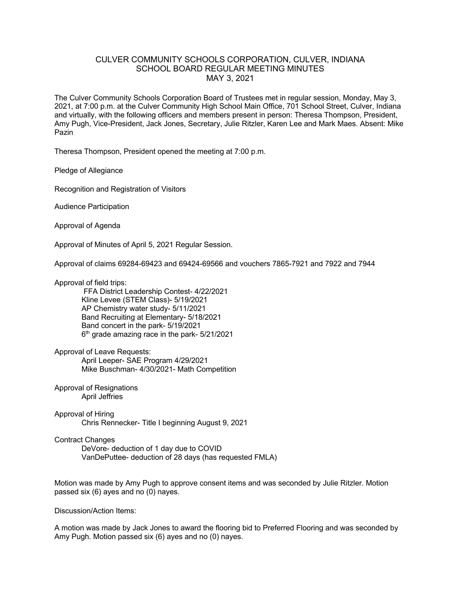## CULVER COMMUNITY SCHOOLS CORPORATION, CULVER, INDIANA SCHOOL BOARD REGULAR MEETING MINUTES MAY 3, 2021

The Culver Community Schools Corporation Board of Trustees met in regular session, Monday, May 3, 2021, at 7:00 p.m. at the Culver Community High School Main Office, 701 School Street, Culver, Indiana and virtually, with the following officers and members present in person: Theresa Thompson, President, Amy Pugh, Vice-President, Jack Jones, Secretary, Julie Ritzler, Karen Lee and Mark Maes. Absent: Mike Pazin

Theresa Thompson, President opened the meeting at 7:00 p.m.

Pledge of Allegiance

Recognition and Registration of Visitors

Audience Participation

Approval of Agenda

Approval of Minutes of April 5, 2021 Regular Session.

Approval of claims 69284-69423 and 69424-69566 and vouchers 7865-7921 and 7922 and 7944

## Approval of field trips:

FFA District Leadership Contest- 4/22/2021 Kline Levee (STEM Class)- 5/19/2021 AP Chemistry water study- 5/11/2021 Band Recruiting at Elementary- 5/18/2021 Band concert in the park- 5/19/2021 6<sup>th</sup> grade amazing race in the park- 5/21/2021

Approval of Leave Requests:

April Leeper- SAE Program 4/29/2021 Mike Buschman- 4/30/2021- Math Competition

Approval of Resignations April Jeffries

Approval of Hiring Chris Rennecker- Title I beginning August 9, 2021

## Contract Changes

DeVore- deduction of 1 day due to COVID VanDePuttee- deduction of 28 days (has requested FMLA)

Motion was made by Amy Pugh to approve consent items and was seconded by Julie Ritzler. Motion passed six (6) ayes and no (0) nayes.

Discussion/Action Items:

A motion was made by Jack Jones to award the flooring bid to Preferred Flooring and was seconded by Amy Pugh. Motion passed six (6) ayes and no (0) nayes.